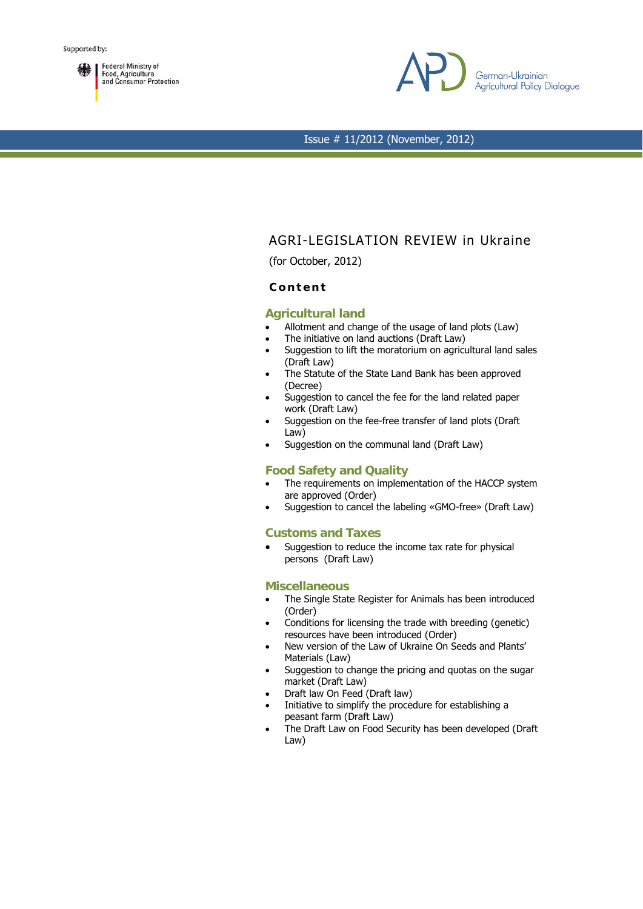



# AGRI-LEGISLATION REVIEW in Ukraine

(for October, 2012)

## **Content**

#### **Agricultural land**

- Allotment and change of the usage of land plots (Law)
- The initiative on land auctions (Draft Law)
- Suggestion to lift the moratorium on agricultural land sales (Draft Law)
- The Statute of the State Land Bank has been approved (Decree)
- Suggestion to cancel the fee for the land related paper work (Draft Law)
- Suggestion on the fee-free transfer of land plots (Draft) Law)
- Suggestion on the communal land (Draft Law)

## **Food Safety and Quality**

- The requirements on implementation of the HACCP system are approved (Order)
- Suggestion to cancel the labeling «GMO-free» (Draft Law)

#### **Customs and Taxes**

• Suggestion to reduce the income tax rate for physical persons (Draft Law)

#### **Miscellaneous**

- The Single State Register for Animals has been introduced (Order)
- Conditions for licensing the trade with breeding (genetic) resources have been introduced (Order)
- New version of the Law of Ukraine On Seeds and Plants' Materials (Law)
- Suggestion to change the pricing and quotas on the sugar market (Draft Law)
- Draft law On Feed (Draft law)
- Initiative to simplify the procedure for establishing a peasant farm (Draft Law)
- The Draft Law on Food Security has been developed (Draft Law)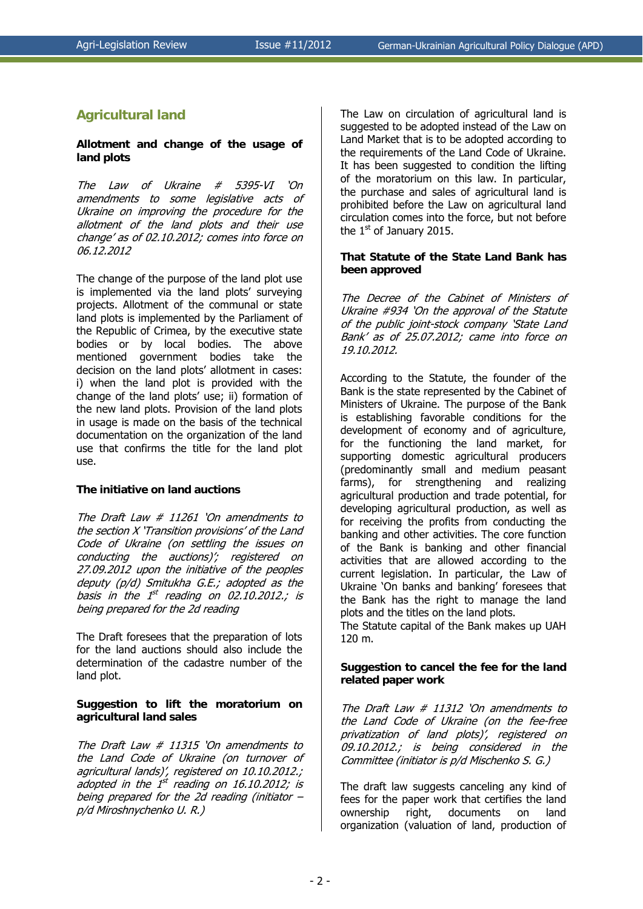## **Agricultural land**

## **Allotment and change of the usage of land plots**

The Law of Ukraine # 5395-VI 'On amendments to some legislative acts of Ukraine on improving the procedure for the allotment of the land plots and their use change' as of 02.10.2012; comes into force on 06.12.2012

The change of the purpose of the land plot use is implemented via the land plots' surveying projects. Allotment of the communal or state land plots is implemented by the Parliament of the Republic of Crimea, by the executive state bodies or by local bodies. The above mentioned government bodies take the decision on the land plots' allotment in cases: i) when the land plot is provided with the change of the land plots' use; ii) formation of the new land plots. Provision of the land plots in usage is made on the basis of the technical documentation on the organization of the land use that confirms the title for the land plot use.

## **The initiative on land auctions**

The Draft Law # 11261 'On amendments to the section X 'Transition provisions' of the Land Code of Ukraine (on settling the issues on conducting the auctions)'; registered on 27.09.2012 upon the initiative of the peoples deputy (p/d) Smitukha G.E.; adopted as the basis in the  $1^{st}$  reading on 02.10.2012.; is being prepared for the 2d reading

The Draft foresees that the preparation of lots for the land auctions should also include the determination of the cadastre number of the land plot.

## **Suggestion to lift the moratorium on agricultural land sales**

The Draft Law # 11315 'On amendments to the Land Code of Ukraine (on turnover of agricultural lands)', registered on 10.10.2012.; adopted in the  $1^{st}$  reading on 16.10.2012; is being prepared for the 2d reading (initiator – p/d Miroshnychenko U. R.)

The Law on circulation of agricultural land is suggested to be adopted instead of the Law on Land Market that is to be adopted according to the requirements of the Land Code of Ukraine. It has been suggested to condition the lifting of the moratorium on this law. In particular, the purchase and sales of agricultural land is prohibited before the Law on agricultural land circulation comes into the force, but not before the  $1<sup>st</sup>$  of January 2015.

#### **That Statute of the State Land Bank has been approved**

The Decree of the Cabinet of Ministers of Ukraine #934 'On the approval of the Statute of the public joint-stock company 'State Land Bank' as of 25.07.2012; came into force on 19.10.2012.

According to the Statute, the founder of the Bank is the state represented by the Cabinet of Ministers of Ukraine. The purpose of the Bank is establishing favorable conditions for the development of economy and of agriculture, for the functioning the land market, for supporting domestic agricultural producers (predominantly small and medium peasant farms), for strengthening and realizing agricultural production and trade potential, for developing agricultural production, as well as for receiving the profits from conducting the banking and other activities. The core function of the Bank is banking and other financial activities that are allowed according to the current legislation. In particular, the Law of Ukraine 'On banks and banking' foresees that the Bank has the right to manage the land plots and the titles on the land plots.

The Statute capital of the Bank makes up UAH 120 m.

## **Suggestion to cancel the fee for the land related paper work**

The Draft Law # 11312 'On amendments to the Land Code of Ukraine (on the fee-free privatization of land plots)', registered on 09.10.2012.; is being considered in the Committee (initiator is p/d Mischenko S. G.)

The draft law suggests canceling any kind of fees for the paper work that certifies the land ownership right, documents on land organization (valuation of land, production of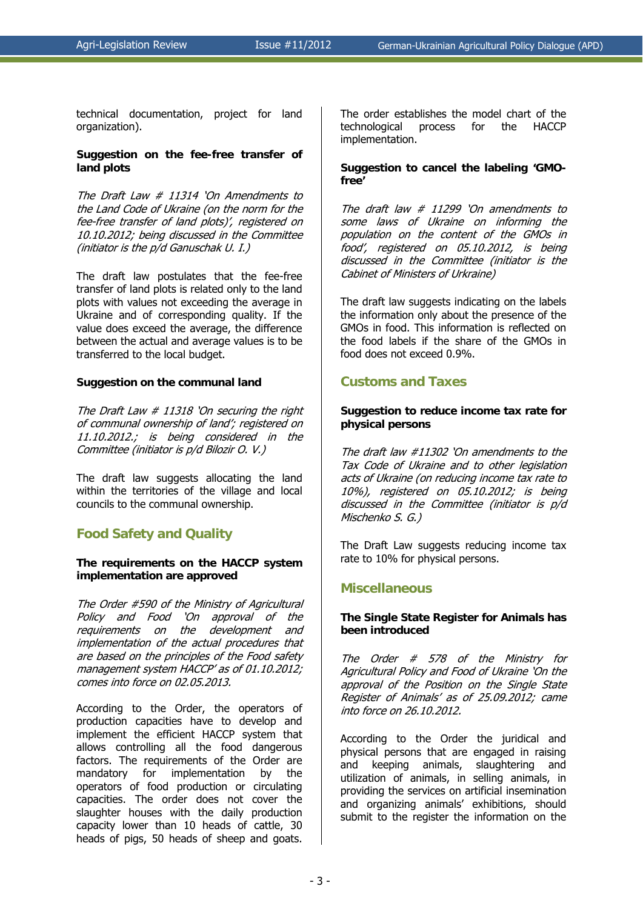technical documentation, project for land organization).

#### **Suggestion on the fee-free transfer of land plots**

The Draft Law # 11314 'On Amendments to the Land Code of Ukraine (on the norm for the fee-free transfer of land plots)', registered on 10.10.2012; being discussed in the Committee (initiator is the p/d Ganuschak U. І.)

The draft law postulates that the fee-free transfer of land plots is related only to the land plots with values not exceeding the average in Ukraine and of corresponding quality. If the value does exceed the average, the difference between the actual and average values is to be transferred to the local budget.

#### **Suggestion on the communal land**

The Draft Law  $#$  11318 'On securing the right of communal ownership of land'; registered on 11.10.2012.; is being considered in the Committee (initiator is p/d Bilozir O. V.)

The draft law suggests allocating the land within the territories of the village and local councils to the communal ownership.

## **Food Safety and Quality**

#### **The requirements on the HACCP system implementation are approved**

The Order #590 of the Ministry of Agricultural Policy and Food 'On approval of the requirements on the development and implementation of the actual procedures that are based on the principles of the Food safety management system HACCP' as of 01.10.2012; comes into force on 02.05.2013.

According to the Order, the operators of production capacities have to develop and implement the efficient НАССР system that allows controlling all the food dangerous factors. The requirements of the Order are mandatory for implementation by the operators of food production or circulating capacities. The order does not cover the slaughter houses with the daily production capacity lower than 10 heads of cattle, 30 heads of pigs, 50 heads of sheep and goats.

The order establishes the model chart of the technological process for the HACCP implementation.

## **Suggestion to cancel the labeling 'GMOfree'**

The draft law  $#$  11299 'On amendments to some laws of Ukraine on informing the population on the content of the GMOs in food', registered on 05.10.2012, is being discussed in the Committee (initiator is the Cabinet of Ministers of Urkraine)

The draft law suggests indicating on the labels the information only about the presence of the GMOs in food. This information is reflected on the food labels if the share of the GMOs in food does not exceed 0.9%.

## **Customs and Taxes**

### **Suggestion to reduce income tax rate for physical persons**

The draft law #11302 'On amendments to the Tax Code of Ukraine and to other legislation acts of Ukraine (on reducing income tax rate to 10%), registered on 05.10.2012; is being discussed in the Committee (initiator is p/d Mischenko S. G.)

The Draft Law suggests reducing income tax rate to 10% for physical persons.

## **Miscellaneous**

## **The Single State Register for Animals has been introduced**

The Order # 578 of the Ministry for Agricultural Policy and Food of Ukraine 'On the approval of the Position on the Single State Register of Animals' as of 25.09.2012; came into force on 26.10.2012.

According to the Order the juridical and physical persons that are engaged in raising and keeping animals, slaughtering and utilization of animals, in selling animals, in providing the services on artificial insemination and organizing animals' exhibitions, should submit to the register the information on the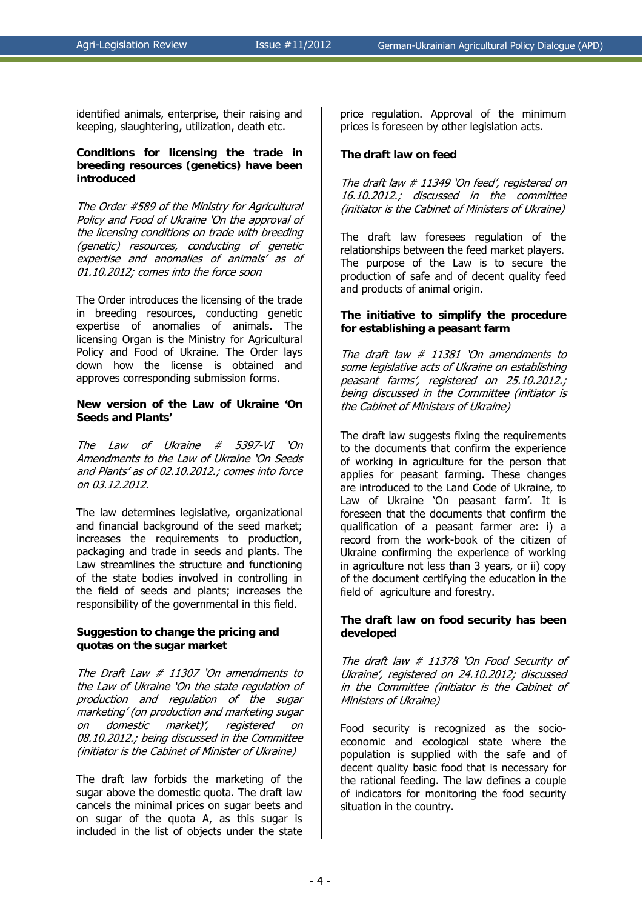identified animals, enterprise, their raising and keeping, slaughtering, utilization, death etc.

#### **Conditions for licensing the trade in breeding resources (genetics) have been introduced**

The Order #589 of the Ministry for Agricultural Policy and Food of Ukraine 'On the approval of the licensing conditions on trade with breeding (genetic) resources, conducting of genetic expertise and anomalies of animals' as of 01.10.2012; comes into the force soon

The Order introduces the licensing of the trade in breeding resources, conducting genetic expertise of anomalies of animals. The licensing Organ is the Ministry for Agricultural Policy and Food of Ukraine. The Order lays down how the license is obtained and approves corresponding submission forms.

#### **New version of the Law of Ukraine 'On Seeds and Plants'**

The Law of Ukraine # 5397-VI 'On Amendments to the Law of Ukraine 'On Seeds and Plants' as of 02.10.2012.; comes into force on 03.12.2012.

The law determines legislative, organizational and financial background of the seed market; increases the requirements to production, packaging and trade in seeds and plants. The Law streamlines the structure and functioning of the state bodies involved in controlling in the field of seeds and plants; increases the responsibility of the governmental in this field.

#### **Suggestion to change the pricing and quotas on the sugar market**

The Draft Law # 11307 'On amendments to the Law of Ukraine 'On the state regulation of production and regulation of the sugar marketing' (on production and marketing sugar on domestic market)', registered on 08.10.2012.; being discussed in the Committee (initiator is the Cabinet of Minister of Ukraine)

The draft law forbids the marketing of the sugar above the domestic quota. The draft law cancels the minimal prices on sugar beets and on sugar of the quota A, as this sugar is included in the list of objects under the state

price regulation. Approval of the minimum prices is foreseen by other legislation acts.

### **The draft law on feed**

The draft law # 11349 'On feed', registered on 16.10.2012.; discussed in the committee (initiator is the Cabinet of Ministers of Ukraine)

The draft law foresees regulation of the relationships between the feed market players. The purpose of the Law is to secure the production of safe and of decent quality feed and products of animal origin.

#### **The initiative to simplify the procedure for establishing a peasant farm**

The draft law # 11381 'On amendments to some legislative acts of Ukraine on establishing peasant farms', registered on 25.10.2012.; being discussed in the Committee (initiator is the Cabinet of Ministers of Ukraine)

The draft law suggests fixing the requirements to the documents that confirm the experience of working in agriculture for the person that applies for peasant farming. These changes are introduced to the Land Code of Ukraine, to Law of Ukraine 'On peasant farm'. It is foreseen that the documents that confirm the qualification of a peasant farmer are: i) a record from the work-book of the citizen of Ukraine confirming the experience of working in agriculture not less than 3 years, or ii) copy of the document certifying the education in the field of agriculture and forestry.

#### **The draft law on food security has been developed**

The draft law # 11378 'On Food Security of Ukraine', registered on 24.10.2012; discussed in the Committee (initiator is the Cabinet of Ministers of Ukraine)

Food security is recognized as the socioeconomic and ecological state where the population is supplied with the safe and of decent quality basic food that is necessary for the rational feeding. The law defines a couple of indicators for monitoring the food security situation in the country.